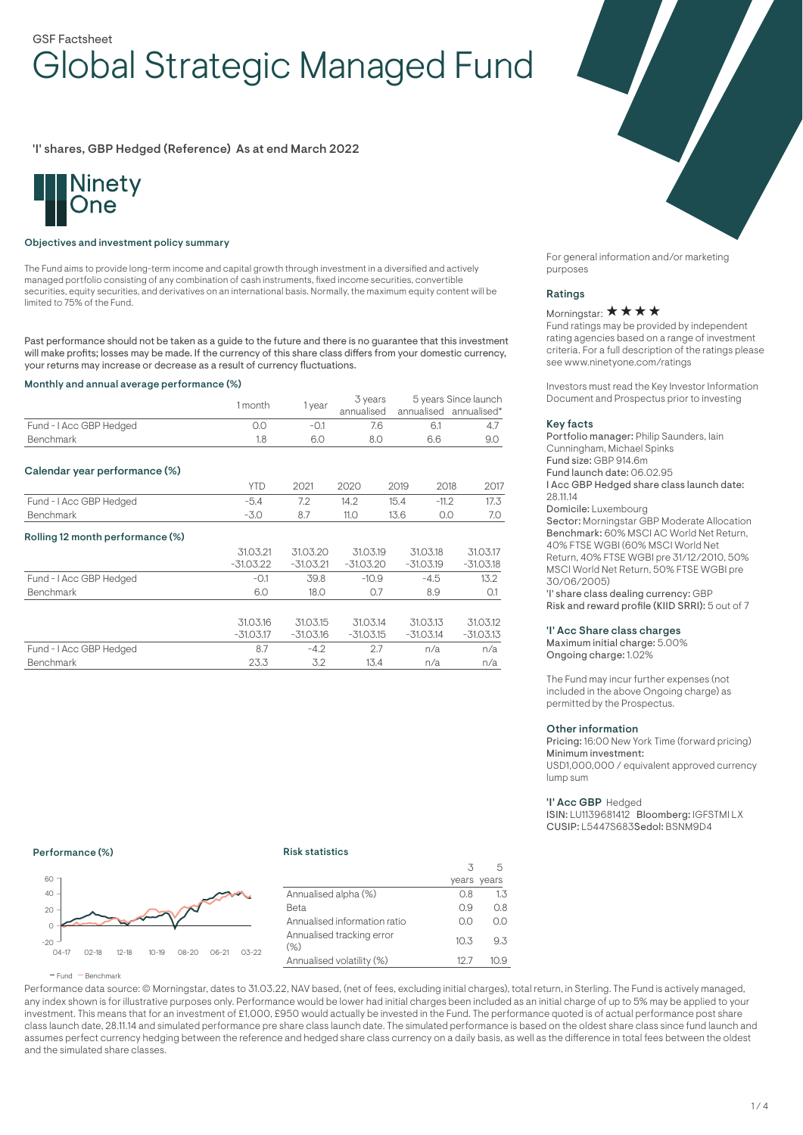# GSF Factsheet Global Strategic Managed Fund

'I' shares, GBP Hedged (Reference) As at end March 2022



## Objectives and investment policy summary

The Fund aims to provide long-term income and capital growth through investment in a diversified and actively managed portfolio consisting of any combination of cash instruments, fixed income securities, convertible securities, equity securities, and derivatives on an international basis. Normally, the maximum equity content will be limited to 75% of the Fund.

Past performance should not be taken as a guide to the future and there is no guarantee that this investment will make profits; losses may be made. If the currency of this share class differs from your domestic currency, your returns may increase or decrease as a result of currency fluctuations.

#### Monthly and annual average performance (%)

|                                  | 1 month     | 1 year      | 3 years<br>annualised |      |             | 5 years Since launch<br>annualised annualised* |
|----------------------------------|-------------|-------------|-----------------------|------|-------------|------------------------------------------------|
| Fund - I Acc GBP Hedged          | 0.0         | $-0.1$      | 7.6                   |      | 6.1         | 4.7                                            |
| <b>Benchmark</b>                 | 1.8         | 6.0         | 8.0                   | 6.6  |             | 9.0                                            |
| Calendar year performance (%)    |             |             |                       |      |             |                                                |
|                                  | <b>YTD</b>  | 2021        | 2020                  | 2019 | 2018        | 2017                                           |
| Fund - I Acc GBP Hedged          | $-5.4$      | 7.2         | 14.2                  | 15.4 | $-11.2$     | 17.3                                           |
| <b>Benchmark</b>                 | $-3.0$      | 8.7         | 11.0                  | 13.6 | 0.0         | 7.0                                            |
| Rolling 12 month performance (%) |             |             |                       |      |             |                                                |
|                                  | 31.03.21    | 31.03.20    | 31.03.19              |      | 31.03.18    | 31.03.17                                       |
|                                  | $-31.03.22$ | $-31.03.21$ | $-31.03.20$           |      | $-31.03.19$ | $-31.03.18$                                    |
| Fund - I Acc GBP Hedged          | $-0.1$      | 39.8        | $-10.9$               |      | $-4.5$      | 13.2                                           |
| <b>Benchmark</b>                 | 6.0         | 18.0        | 0.7                   | 8.9  |             | O.1                                            |
|                                  |             |             |                       |      |             |                                                |
|                                  | 31.03.16    | 31.03.15    | 31.03.14              |      | 31.03.13    | 31.03.12                                       |
|                                  | $-31.03.17$ | $-31.03.16$ | $-31.03.15$           |      | $-31.03.14$ | $-31.03.13$                                    |
| Fund - I Acc GBP Hedged          | 8.7         | $-4.2$      | 2.7<br>n/a            |      |             | n/a                                            |
| <b>Benchmark</b>                 | 23.3        | 3.2         | 13.4                  |      | n/a         | n/a                                            |
|                                  |             |             |                       |      |             |                                                |

For general information and/or marketing purposes

#### Ratings

# Morningstar: ★ ★ ★ ★

Fund ratings may be provided by independent rating agencies based on a range of investment criteria. For a full description of the ratings please see www.ninetyone.com/ratings

Investors must read the Key Investor Information Document and Prospectus prior to investing

#### Key facts

Portfolio manager: Philip Saunders, Iain Cunningham, Michael Spinks Fund size: GBP 914.6m Fund launch date: 06.02.95 I Acc GBP Hedged share class launch date: 28.11.14 Domicile: Luxembourg Sector: Morningstar GBP Moderate Allocation Benchmark: 60% MSCI AC World Net Return, 40% FTSE WGBI (60% MSCI World Net Return, 40% FTSE WGBI pre 31/12/2010, 50% MSCI World Net Return, 50% FTSE WGBI pre 30/06/2005)

'I' share class dealing currency: GBP Risk and reward profile (KIID SRRI): 5 out of 7

## 'I' Acc Share class charges

Maximum initial charge: 5.00% Ongoing charge: 1.02%

The Fund may incur further expenses (not included in the above Ongoing charge) as permitted by the Prospectus.

#### Other information

Pricing: 16:00 New York Time (forward pricing) Minimum investment: USD1,000,000 / equivalent approved currency lump sum

#### 'I' Acc GBP Hedged

ISIN: LU1139681412 Bloomberg: IGFSTMI LX CUSIP: L5447S683Sedol: BSNM9D4

### Performance (%)

#### Risk statistics



|                                     | 3    | 5           |
|-------------------------------------|------|-------------|
|                                     |      | years years |
| Annualised alpha (%)                | O.8  | 1.3         |
| Beta                                | 0.9  | 0.8         |
| Annualised information ratio        | O.O  | ΩO          |
| Annualised tracking error<br>$(\%)$ | 10.3 | 93          |
| Annualised volatility (%)           | 12.7 | 10.9        |

 $F$  Fund  $B$  Benchmark

Performance data source: © Morningstar, dates to 31.03.22, NAV based, (net of fees, excluding initial charges), total return, in Sterling. The Fund is actively managed, any index shown is for illustrative purposes only. Performance would be lower had initial charges been included as an initial charge of up to 5% may be applied to your investment. This means that for an investment of £1,000, £950 would actually be invested in the Fund. The performance quoted is of actual performance post share class launch date, 28.11.14 and simulated performance pre share class launch date. The simulated performance is based on the oldest share class since fund launch and assumes perfect currency hedging between the reference and hedged share class currency on a daily basis, as well as the difference in total fees between the oldest and the simulated share classes.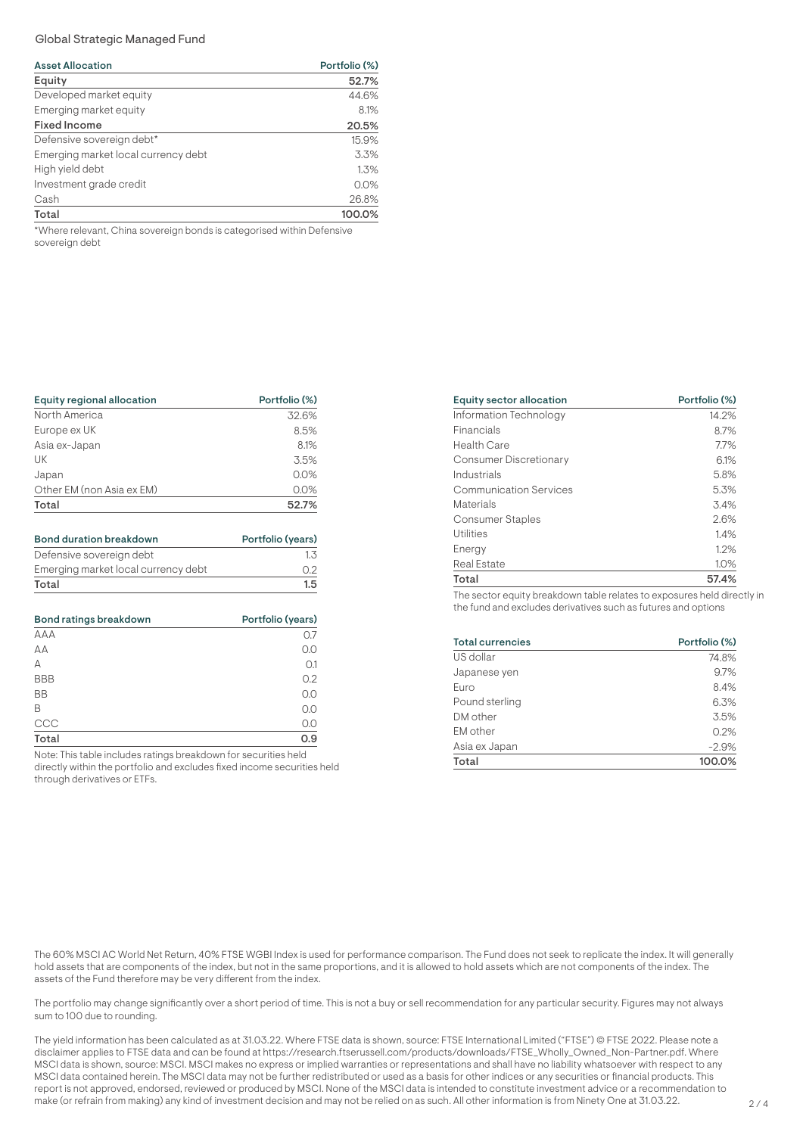# Global Strategic Managed Fund

| <b>Asset Allocation</b>                                                                     | Portfolio (%) |  |  |
|---------------------------------------------------------------------------------------------|---------------|--|--|
| Equity                                                                                      | 52.7%         |  |  |
| Developed market equity                                                                     | 44.6%         |  |  |
| Emerging market equity                                                                      | 8.1%          |  |  |
| <b>Fixed Income</b>                                                                         | 20.5%         |  |  |
| Defensive sovereign debt*                                                                   | 15.9%         |  |  |
| Emerging market local currency debt                                                         | 3.3%          |  |  |
| High yield debt                                                                             | 1.3%          |  |  |
| Investment grade credit                                                                     | 0.0%          |  |  |
| Cash                                                                                        | 26.8%         |  |  |
| Total                                                                                       | 100.0%        |  |  |
| at Allege and property Obtain a properties to paralely a particle of containing Distance of |               |  |  |

\*Where relevant, China sovereign bonds is categorised within Defensive sovereign debt

| Equity regional allocation | Portfolio (%) |  |  |
|----------------------------|---------------|--|--|
| North America              | 32.6%         |  |  |
| Europe ex UK               | 8.5%          |  |  |
| Asia ex-Japan              | 8.1%          |  |  |
| UK                         | 3.5%          |  |  |
| Japan                      | 0.0%          |  |  |
| Other EM (non Asia ex EM)  | 0.0%          |  |  |
| Total                      | 52.7%         |  |  |
|                            |               |  |  |

| <b>Bond duration breakdown</b>      | Portfolio (years) |  |
|-------------------------------------|-------------------|--|
| Defensive sovereign debt            | 1.3               |  |
| Emerging market local currency debt | 0.2               |  |
| Total                               | 1.5               |  |

| Bond ratings breakdown | Portfolio (years) |  |  |
|------------------------|-------------------|--|--|
| <b>AAA</b>             | O.7               |  |  |
| AA                     | 0.0               |  |  |
| A                      | O.1               |  |  |
| <b>BBB</b>             | 0.2               |  |  |
| <b>BB</b>              | 0.0               |  |  |
| B                      | 0.0               |  |  |
| CCC                    | 0.0               |  |  |
| Total                  | 0.9               |  |  |

Note: This table includes ratings breakdown for securities held directly within the portfolio and excludes fixed income securities held through derivatives or ETFs.

| Equity sector allocation      | Portfolio (%) |
|-------------------------------|---------------|
| Information Technology        | 14.2%         |
| Financials                    | 8.7%          |
| <b>Health Care</b>            | 7.7%          |
| <b>Consumer Discretionary</b> | 6.1%          |
| Industrials                   | 5.8%          |
| <b>Communication Services</b> | 5.3%          |
| Materials                     | 3.4%          |
| <b>Consumer Staples</b>       | 2.6%          |
| <b>Utilities</b>              | 1.4%          |
| Energy                        | 1.2%          |
| Real Estate                   | 1.0%          |
| Total                         | 57.4%         |
|                               |               |

The sector equity breakdown table relates to exposures held directly in the fund and excludes derivatives such as futures and options

| <b>Total currencies</b> | Portfolio (%) |  |
|-------------------------|---------------|--|
| US dollar               | 74.8%         |  |
| Japanese yen            | 9.7%          |  |
| Euro                    | 8.4%          |  |
| Pound sterling          | 6.3%          |  |
| DM other                | 3.5%          |  |
| EM other                | 0.2%          |  |
| Asia ex Japan           | $-2.9%$       |  |
| Total                   | 100.0%        |  |

The 60% MSCI AC World Net Return, 40% FTSE WGBI Index is used for performance comparison. The Fund does not seek to replicate the index. It will generally hold assets that are components of the index, but not in the same proportions, and it is allowed to hold assets which are not components of the index. The assets of the Fund therefore may be very different from the index.

The portfolio may change significantly over a short period of time. This is not a buy or sell recommendation for any particular security. Figures may not always sum to 100 due to rounding.

The yield information has been calculated as at 31.03.22. Where FTSE data is shown, source: FTSE International Limited ("FTSE") © FTSE 2022. Please note a disclaimer applies to FTSE data and can be found at https://research.ftserussell.com/products/downloads/FTSE\_Wholly\_Owned\_Non-Partner.pdf. Where MSCI data is shown, source: MSCI. MSCI makes no express or implied warranties or representations and shall have no liability whatsoever with respect to any MSCI data contained herein. The MSCI data may not be further redistributed or used as a basis for other indices or any securities or financial products. This report is not approved, endorsed, reviewed or produced by MSCI. None of the MSCI data is intended to constitute investment advice or a recommendation to make (or refrain from making) any kind of investment decision and may not be relied on as such. All other information is from Ninety One at 31.03.22.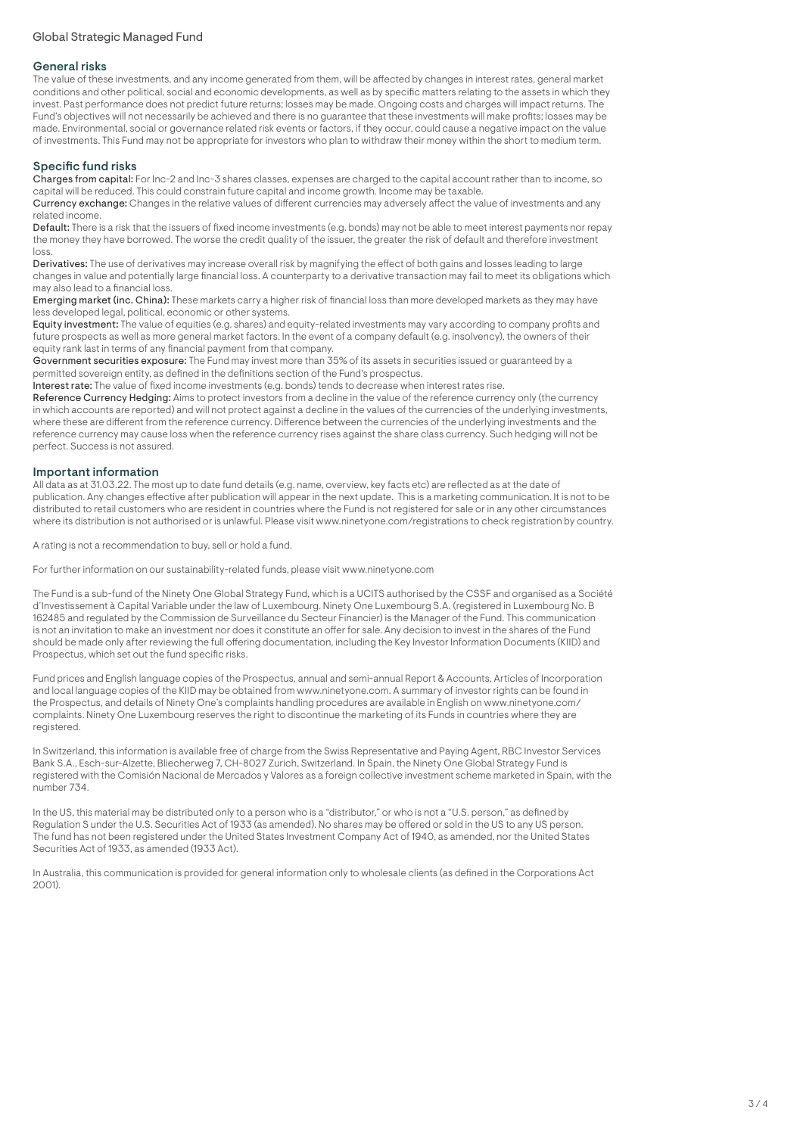## General risks

The value of these investments, and any income generated from them, will be affected by changes in interest rates, general market conditions and other political, social and economic developments, as well as by specific matters relating to the assets in which they invest. Past performance does not predict future returns; losses may be made. Ongoing costs and charges will impact returns. The Fund's objectives will not necessarily be achieved and there is no guarantee that these investments will make profits; losses may be made. Environmental, social or governance related risk events or factors, if they occur, could cause a negative impact on the value of investments. This Fund may not be appropriate for investors who plan to withdraw their money within the short to medium term.

# Specific fund risks

Charges from capital: For Inc-2 and Inc-3 shares classes, expenses are charged to the capital account rather than to income, so capital will be reduced. This could constrain future capital and income growth. Income may be taxable.

Currency exchange: Changes in the relative values of different currencies may adversely affect the value of investments and any related income.

Default: There is a risk that the issuers of fixed income investments (e.g. bonds) may not be able to meet interest payments nor repay the money they have borrowed. The worse the credit quality of the issuer, the greater the risk of default and therefore investment loss.

Derivatives: The use of derivatives may increase overall risk by magnifying the effect of both gains and losses leading to large changes in value and potentially large financial loss. A counterparty to a derivative transaction may fail to meet its obligations which may also lead to a financial loss.

Emerging market (inc. China): These markets carry a higher risk of financial loss than more developed markets as they may have less developed legal, political, economic or other systems.

Equity investment: The value of equities (e.g. shares) and equity-related investments may vary according to company profits and future prospects as well as more general market factors. In the event of a company default (e.g. insolvency), the owners of their equity rank last in terms of any financial payment from that company.

Government securities exposure: The Fund may invest more than 35% of its assets in securities issued or guaranteed by a permitted sovereign entity, as defined in the definitions section of the Fund's prospectus.

Interest rate: The value of fixed income investments (e.g. bonds) tends to decrease when interest rates rise.

Reference Currency Hedging: Aims to protect investors from a decline in the value of the reference currency only (the currency in which accounts are reported) and will not protect against a decline in the values of the currencies of the underlying investments, where these are different from the reference currency. Difference between the currencies of the underlying investments and the reference currency may cause loss when the reference currency rises against the share class currency. Such hedging will not be perfect. Success is not assured.

## Important information

All data as at 31.03.22. The most up to date fund details (e.g. name, overview, key facts etc) are reflected as at the date of publication. Any changes effective after publication will appear in the next update. This is a marketing communication. It is not to be distributed to retail customers who are resident in countries where the Fund is not registered for sale or in any other circumstances where its distribution is not authorised or is unlawful. Please visit www.ninetyone.com/registrations to check registration by country.

A rating is not a recommendation to buy, sell or hold a fund.

For further information on our sustainability-related funds, please visit www.ninetyone.com

The Fund is a sub-fund of the Ninety One Global Strategy Fund, which is a UCITS authorised by the CSSF and organised as a Société d'Investissement à Capital Variable under the law of Luxembourg. Ninety One Luxembourg S.A. (registered in Luxembourg No. B 162485 and regulated by the Commission de Surveillance du Secteur Financier) is the Manager of the Fund. This communication is not an invitation to make an investment nor does it constitute an offer for sale. Any decision to invest in the shares of the Fund should be made only after reviewing the full offering documentation, including the Key Investor Information Documents (KIID) and Prospectus, which set out the fund specific risks.

Fund prices and English language copies of the Prospectus, annual and semi-annual Report & Accounts, Articles of Incorporation and local language copies of the KIID may be obtained from www.ninetyone.com. A summary of investor rights can be found in the Prospectus, and details of Ninety One's complaints handling procedures are available in English on www.ninetyone.com/ complaints. Ninety One Luxembourg reserves the right to discontinue the marketing of its Funds in countries where they are registered.

In Switzerland, this information is available free of charge from the Swiss Representative and Paying Agent, RBC Investor Services Bank S.A., Esch-sur-Alzette, Bliecherweg 7, CH-8027 Zurich, Switzerland. In Spain, the Ninety One Global Strategy Fund is registered with the Comisión Nacional de Mercados y Valores as a foreign collective investment scheme marketed in Spain, with the number 734.

In the US, this material may be distributed only to a person who is a "distributor," or who is not a "U.S. person," as defined by Regulation S under the U.S. Securities Act of 1933 (as amended). No shares may be offered or sold in the US to any US person. The fund has not been registered under the United States Investment Company Act of 1940, as amended, nor the United States Securities Act of 1933, as amended (1933 Act).

In Australia, this communication is provided for general information only to wholesale clients (as defined in the Corporations Act 2001).